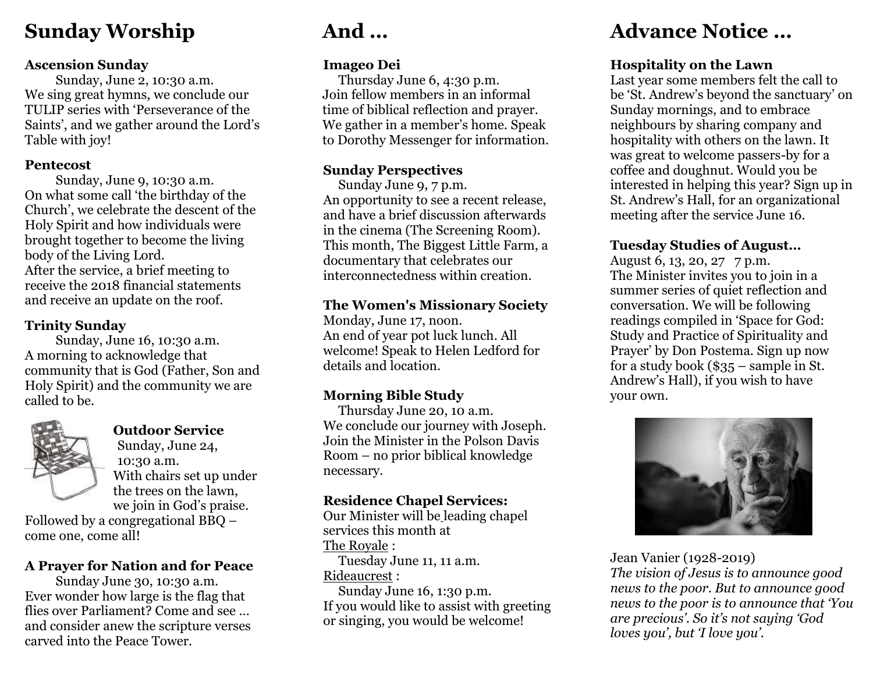## **Sunday Worship**

#### **Ascension Sunday**

Sunday, June 2, 10:30 a.m. We sing great hymns, we conclude our TULIP series with 'Perseverance of the Saints', and we gather around the Lord's Table with joy!

#### **Pentecost**

Sunday, June 9, 10:30 a.m. On what some call 'the birthday of the Church', we celebrate the descent of the Holy Spirit and how individuals were brought together to become the living body of the Living Lord. After the service, a brief meeting to receive the 2018 financial statements and receive an update on the roof.

#### **Trinity Sunday**

Sunday, June 16, 10:30 a.m. A morning to acknowledge that community that is God (Father, Son and Holy Spirit) and the community we are called to be.



#### **Outdoor Service**

Sunday, June 24, 10:30 a.m. With chairs set up under the trees on the lawn, we join in God's praise.

Followed by a congregational BBQ – come one, come all!

#### **A Prayer for Nation and for Peace**

Sunday June 30, 10:30 a.m. Ever wonder how large is the flag that flies over Parliament? Come and see … and consider anew the scripture verses carved into the Peace Tower.

# **And …**

#### **Imageo Dei**

Thursday June 6, 4:30 p.m. Join fellow members in an informal time of biblical reflection and prayer. We gather in a member's home. Speak to Dorothy Messenger for information.

#### **Sunday Perspectives**

Sunday June 9, 7 p.m. An opportunity to see a recent release, and have a brief discussion afterwards in the cinema (The Screening Room). This month, The Biggest Little Farm, a documentary that celebrates our interconnectedness within creation.

#### **The Women's Missionary Society**

Monday, June 17, noon. An end of year pot luck lunch. All welcome! Speak to Helen Ledford for details and location.

#### **Morning Bible Study**

Thursday June 20, 10 a.m. We conclude our journey with Joseph. Join the Minister in the Polson Davis Room – no prior biblical knowledge necessary.

#### **Residence Chapel Services:**

Our Minister will be leading chapel services this month at The Royale :

Tuesday June 11, 11 a.m. Rideaucrest :

Sunday June 16, 1:30 p.m. If you would like to assist with greeting or singing, you would be welcome!

# **Advance Notice …**

#### **Hospitality on the Lawn**

Last year some members felt the call to be 'St. Andrew's beyond the sanctuary' on Sunday mornings, and to embrace neighbours by sharing company and hospitality with others on the lawn. It was great to welcome passers-by for a coffee and doughnut. Would you be interested in helping this year? Sign up in St. Andrew's Hall, for an organizational meeting after the service June 16.

#### **Tuesday Studies of August…**

August 6, 13, 20, 27 7 p.m. The Minister invites you to join in a summer series of quiet reflection and conversation. We will be following readings compiled in 'Space for God: Study and Practice of Spirituality and Prayer' by Don Postema. Sign up now for a study book (\$35 – sample in St. Andrew's Hall), if you wish to have your own.



#### Jean Vanier (1928-2019)

*The vision of Jesus is to announce good news to the poor. But to announce good news to the poor is to announce that 'You are precious'. So it's not saying 'God loves you', but 'I love you'.*